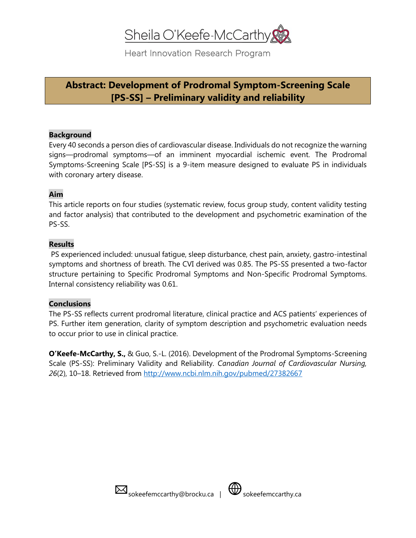# Sheila O'Keefe-McCarthy

Heart Innovation Research Program

## **Abstract: Development of Prodromal Symptom-Screening Scale [PS-SS] – Preliminary validity and reliability**

#### **Background**

Every 40 seconds a person dies of cardiovascular disease. Individuals do not recognize the warning signs—prodromal symptoms—of an imminent myocardial ischemic event. The Prodromal Symptoms-Screening Scale [PS-SS] is a 9-item measure designed to evaluate PS in individuals with coronary artery disease.

## **Aim**

This article reports on four studies (systematic review, focus group study, content validity testing and factor analysis) that contributed to the development and psychometric examination of the PS-SS.

## **Results**

PS experienced included: unusual fatigue, sleep disturbance, chest pain, anxiety, gastro-intestinal symptoms and shortness of breath. The CVI derived was 0.85. The PS-SS presented a two-factor structure pertaining to Specific Prodromal Symptoms and Non-Specific Prodromal Symptoms. Internal consistency reliability was 0.61.

## **Conclusions**

The PS-SS reflects current prodromal literature, clinical practice and ACS patients' experiences of PS. Further item generation, clarity of symptom description and psychometric evaluation needs to occur prior to use in clinical practice.

**O'Keefe-McCarthy, S.,** & Guo, S.-L. (2016). Development of the Prodromal Symptoms-Screening Scale (PS-SS): Preliminary Validity and Reliability. *Canadian Journal of Cardiovascular Nursing, 26*(2), 10–18. Retrieved from<http://www.ncbi.nlm.nih.gov/pubmed/27382667>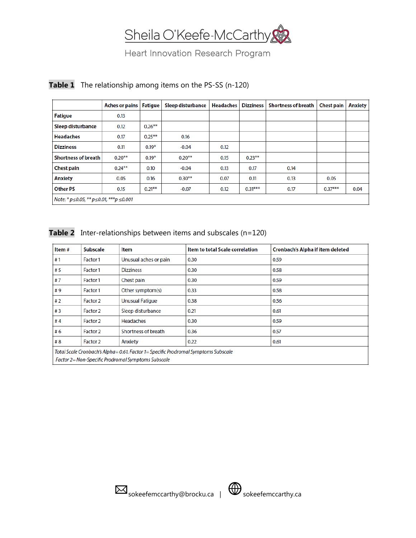

## Heart Innovation Research Program

|                                                            | <b>Aches or pains</b> | Fatigue   | <b>Sleep disturbance</b> | <b>Headaches</b> | <b>Dizziness</b> | <b>Shortness of breath</b> | <b>Chest pain</b> | <b>Anxiety</b> |
|------------------------------------------------------------|-----------------------|-----------|--------------------------|------------------|------------------|----------------------------|-------------------|----------------|
| <b>Fatigue</b>                                             | 0.13                  |           |                          |                  |                  |                            |                   |                |
| Sleep disturbance                                          | 0.12                  | $0.26***$ |                          |                  |                  |                            |                   |                |
| <b>Headaches</b>                                           | 0.17                  | $0.25***$ | 0.16                     |                  |                  |                            |                   |                |
| <b>Dizziness</b>                                           | 0.11                  | $0.19*$   | $-0.04$                  | 0.12             |                  |                            |                   |                |
| <b>Shortness of breath</b>                                 | $0.20***$             | $0.19*$   | $0.20***$                | 0.15             | $0.23***$        |                            |                   |                |
| <b>Chest pain</b>                                          | $0.24***$             | 0.10      | $-0.04$                  | 0.13             | 0.17             | 0.14                       |                   |                |
| <b>Anxiety</b>                                             | 0.05                  | 0.16      | $0.30***$                | 0.07             | 0.11             | 0.13                       | 0.05              |                |
| <b>Other PS</b>                                            | 0.15                  | $0.21***$ | $-0.07$                  | 0.12             | $0.31***$        | 0.17                       | $0.37***$         | 0.04           |
| Note: * $p \le 0.05$ , ** $p \le 0.01$ , *** $p \le 0.001$ |                       |           |                          |                  |                  |                            |                   |                |

## **Table 1** The relationship among items on the PS-SS (n-120)

#### **Table 2** Inter-relationships between items and subscales (n=120)

| Item #                                                                             | <b>Subscale</b> | ltem                   | <b>Item to total Scale correlation</b> | <b>Cronbach's Alpha if item deleted</b> |  |  |  |
|------------------------------------------------------------------------------------|-----------------|------------------------|----------------------------------------|-----------------------------------------|--|--|--|
| #1                                                                                 | Factor 1        | Unusual aches or pain  | 0.30                                   | 0.59                                    |  |  |  |
| #5                                                                                 | Factor 1        | <b>Dizziness</b>       | 0.30                                   | 0.58                                    |  |  |  |
| #7                                                                                 | Factor 1        | Chest pain             | 0.30                                   | 0.59                                    |  |  |  |
| #9                                                                                 | Factor 1        | Other symptom(s)       | 0.33                                   | 0.58                                    |  |  |  |
| #2                                                                                 | Factor 2        | <b>Unusual Fatique</b> | 0.38                                   | 0.56                                    |  |  |  |
| #3                                                                                 | Factor 2        | Sleep disturbance      | 0.21                                   | 0.61                                    |  |  |  |
| #4                                                                                 | Factor 2        | <b>Headaches</b>       | 0.30                                   | 0.59                                    |  |  |  |
| #6                                                                                 | Factor 2        | Shortness of breath    | 0.36                                   | 0.57                                    |  |  |  |
| # $8$                                                                              | Factor 2        | Anxiety                | 0.22                                   | 0.61                                    |  |  |  |
| Total Scale Cronbach's Alpha= 0.61. Factor 1= Specific Prodromal Symptoms Subscale |                 |                        |                                        |                                         |  |  |  |
| Factor 2= Non-Specific Prodromal Symptoms Subscale                                 |                 |                        |                                        |                                         |  |  |  |